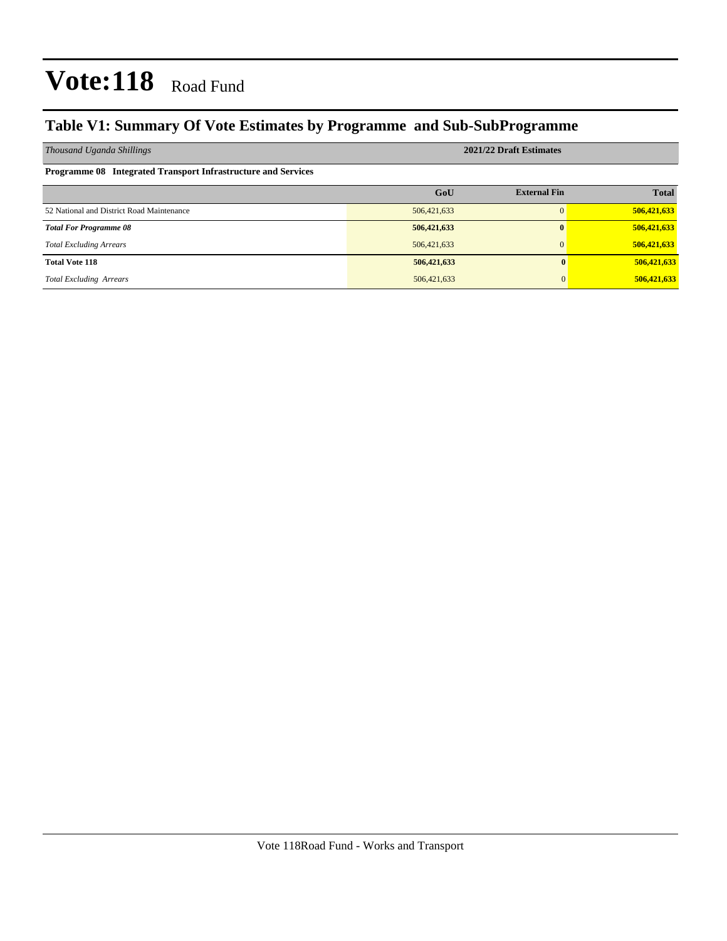## **Table V1: Summary Of Vote Estimates by Programme and Sub-SubProgramme**

| Thousand Uganda Shillings                                     | 2021/22 Draft Estimates |                     |              |  |  |  |  |
|---------------------------------------------------------------|-------------------------|---------------------|--------------|--|--|--|--|
| Programme 08 Integrated Transport Infrastructure and Services |                         |                     |              |  |  |  |  |
|                                                               | GoU                     | <b>External Fin</b> | <b>Total</b> |  |  |  |  |
| 52 National and District Road Maintenance                     | 506,421,633             |                     | 506,421,633  |  |  |  |  |
| <b>Total For Programme 08</b>                                 | 506,421,633             |                     | 506,421,633  |  |  |  |  |
| <b>Total Excluding Arrears</b>                                | 506,421,633             | $\Omega$            | 506,421,633  |  |  |  |  |
| <b>Total Vote 118</b>                                         | 506,421,633             |                     | 506,421,633  |  |  |  |  |
| <b>Total Excluding Arrears</b>                                | 506, 421, 633           | $\Omega$            | 506,421,633  |  |  |  |  |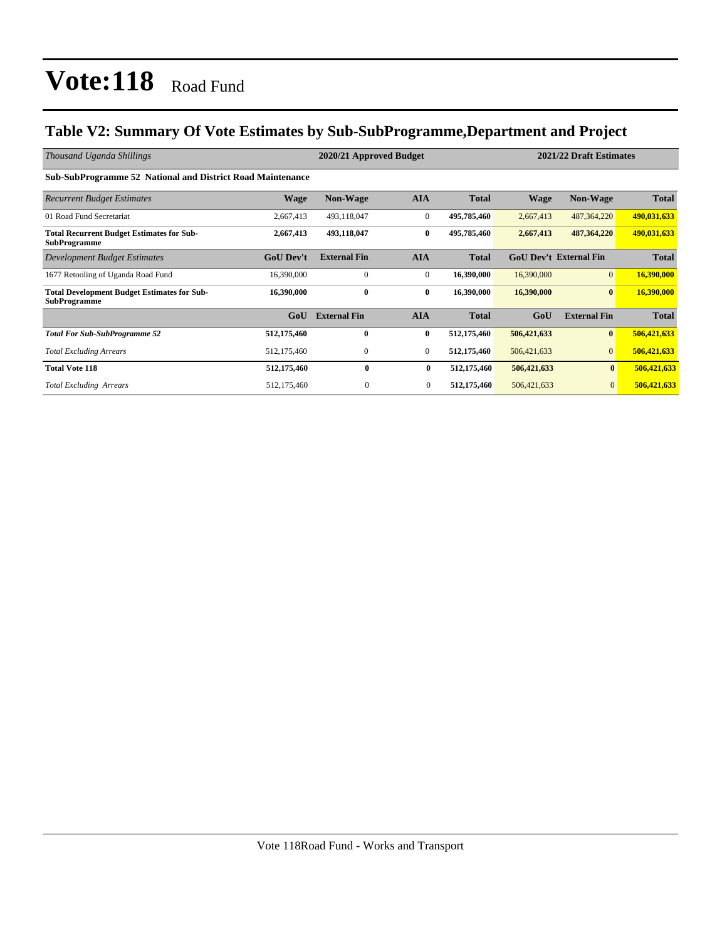## **Table V2: Summary Of Vote Estimates by Sub-SubProgramme,Department and Project**

| Thousand Uganda Shillings                                                 |                  | 2020/21 Approved Budget |                  |              | 2021/22 Draft Estimates |                               |              |  |
|---------------------------------------------------------------------------|------------------|-------------------------|------------------|--------------|-------------------------|-------------------------------|--------------|--|
| Sub-SubProgramme 52 National and District Road Maintenance                |                  |                         |                  |              |                         |                               |              |  |
| <b>Recurrent Budget Estimates</b>                                         | <b>Wage</b>      | <b>Non-Wage</b>         | <b>AIA</b>       | <b>Total</b> | <b>Wage</b>             | <b>Non-Wage</b>               | <b>Total</b> |  |
| 01 Road Fund Secretariat                                                  | 2,667,413        | 493,118,047             | $\mathbf{0}$     | 495,785,460  | 2,667,413               | 487, 364, 220                 | 490,031,633  |  |
| <b>Total Recurrent Budget Estimates for Sub-</b><br><b>SubProgramme</b>   | 2,667,413        | 493,118,047             | $\bf{0}$         | 495,785,460  | 2,667,413               | 487,364,220                   | 490,031,633  |  |
| Development Budget Estimates                                              | <b>GoU Dev't</b> | <b>External Fin</b>     | <b>AIA</b>       | <b>Total</b> |                         | <b>GoU Dev't External Fin</b> | <b>Total</b> |  |
| 1677 Retooling of Uganda Road Fund                                        | 16,390,000       | $\mathbf{0}$            | $\overline{0}$   | 16,390,000   | 16,390,000              | $\overline{0}$                | 16,390,000   |  |
| <b>Total Development Budget Estimates for Sub-</b><br><b>SubProgramme</b> | 16,390,000       | $\bf{0}$                | $\bf{0}$         | 16,390,000   | 16,390,000              | $\mathbf{0}$                  | 16,390,000   |  |
|                                                                           | GoU              | <b>External Fin</b>     | <b>AIA</b>       | <b>Total</b> | GoU                     | <b>External Fin</b>           | <b>Total</b> |  |
| <b>Total For Sub-SubProgramme 52</b>                                      | 512,175,460      | 0                       | $\bf{0}$         | 512,175,460  | 506,421,633             | $\mathbf{0}$                  | 506,421,633  |  |
| <b>Total Excluding Arrears</b>                                            | 512,175,460      | $\mathbf{0}$            | $\overline{0}$   | 512,175,460  | 506,421,633             | $\overline{0}$                | 506,421,633  |  |
| <b>Total Vote 118</b>                                                     | 512,175,460      | $\mathbf{0}$            | $\bf{0}$         | 512,175,460  | 506,421,633             | $\mathbf{0}$                  | 506,421,633  |  |
| <b>Total Excluding Arrears</b>                                            | 512,175,460      | $\mathbf{0}$            | $\boldsymbol{0}$ | 512,175,460  | 506,421,633             | $\mathbf{0}$                  | 506,421,633  |  |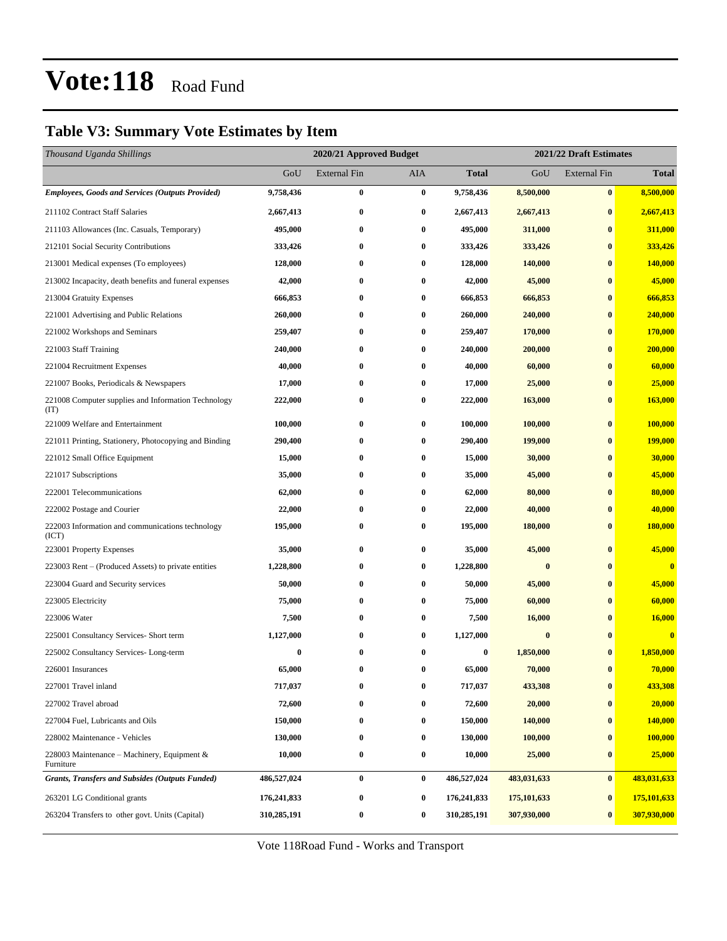### **Table V3: Summary Vote Estimates by Item**

| Thousand Uganda Shillings                                   |               | 2021/22 Draft Estimates<br>2020/21 Approved Budget |          |              |               |                     |                |
|-------------------------------------------------------------|---------------|----------------------------------------------------|----------|--------------|---------------|---------------------|----------------|
|                                                             | GoU           | External Fin                                       | AIA      | <b>Total</b> | GoU           | <b>External Fin</b> | <b>Total</b>   |
| <b>Employees, Goods and Services (Outputs Provided)</b>     | 9,758,436     | $\bf{0}$                                           | $\bf{0}$ | 9,758,436    | 8,500,000     | $\bf{0}$            | 8,500,000      |
| 211102 Contract Staff Salaries                              | 2,667,413     | $\bf{0}$                                           | 0        | 2,667,413    | 2,667,413     | $\bf{0}$            | 2,667,413      |
| 211103 Allowances (Inc. Casuals, Temporary)                 | 495,000       | $\bf{0}$                                           | $\bf{0}$ | 495,000      | 311,000       | $\bf{0}$            | 311,000        |
| 212101 Social Security Contributions                        | 333,426       | $\bf{0}$                                           | $\bf{0}$ | 333,426      | 333,426       | $\bf{0}$            | 333,426        |
| 213001 Medical expenses (To employees)                      | 128,000       | $\bf{0}$                                           | 0        | 128,000      | 140,000       | $\bf{0}$            | 140,000        |
| 213002 Incapacity, death benefits and funeral expenses      | 42,000        | $\bf{0}$                                           | $\bf{0}$ | 42,000       | 45,000        | $\bf{0}$            | 45,000         |
| 213004 Gratuity Expenses                                    | 666,853       | $\bf{0}$                                           | 0        | 666,853      | 666,853       | $\bf{0}$            | 666,853        |
| 221001 Advertising and Public Relations                     | 260,000       | $\bf{0}$                                           | $\bf{0}$ | 260,000      | 240,000       | $\bf{0}$            | 240,000        |
| 221002 Workshops and Seminars                               | 259,407       | $\bf{0}$                                           | $\bf{0}$ | 259,407      | 170,000       | $\bf{0}$            | 170,000        |
| 221003 Staff Training                                       | 240,000       | $\bf{0}$                                           | 0        | 240,000      | 200,000       | $\bf{0}$            | 200,000        |
| 221004 Recruitment Expenses                                 | 40,000        | $\bf{0}$                                           | $\bf{0}$ | 40,000       | 60,000        | $\bf{0}$            | 60,000         |
| 221007 Books, Periodicals & Newspapers                      | 17,000        | $\bf{0}$                                           | $\bf{0}$ | 17,000       | 25,000        | $\bf{0}$            | 25,000         |
| 221008 Computer supplies and Information Technology<br>(TT) | 222,000       | $\bf{0}$                                           | $\bf{0}$ | 222,000      | 163,000       | $\bf{0}$            | <b>163,000</b> |
| 221009 Welfare and Entertainment                            | 100,000       | $\bf{0}$                                           | $\bf{0}$ | 100,000      | 100,000       | $\bf{0}$            | 100,000        |
| 221011 Printing, Stationery, Photocopying and Binding       | 290,400       | $\bf{0}$                                           | 0        | 290,400      | 199,000       | $\bf{0}$            | <b>199,000</b> |
| 221012 Small Office Equipment                               | 15,000        | $\bf{0}$                                           | $\bf{0}$ | 15,000       | 30,000        | $\bf{0}$            | 30,000         |
| 221017 Subscriptions                                        | 35,000        | $\bf{0}$                                           | $\bf{0}$ | 35,000       | 45,000        | $\bf{0}$            | 45,000         |
| 222001 Telecommunications                                   | 62,000        | $\bf{0}$                                           | 0        | 62,000       | 80,000        | $\bf{0}$            | 80,000         |
| 222002 Postage and Courier                                  | 22,000        | $\bf{0}$                                           | 0        | 22,000       | 40,000        | $\bf{0}$            | 40,000         |
| 222003 Information and communications technology<br>(ICT)   | 195,000       | $\bf{0}$                                           | 0        | 195,000      | 180,000       | $\bf{0}$            | 180,000        |
| 223001 Property Expenses                                    | 35,000        | $\bf{0}$                                           | $\bf{0}$ | 35,000       | 45,000        | $\bf{0}$            | 45,000         |
| 223003 Rent – (Produced Assets) to private entities         | 1,228,800     | $\bf{0}$                                           | $\bf{0}$ | 1,228,800    | $\bf{0}$      | $\bf{0}$            | $\bf{0}$       |
| 223004 Guard and Security services                          | 50,000        | $\bf{0}$                                           | 0        | 50,000       | 45,000        | $\bf{0}$            | 45,000         |
| 223005 Electricity                                          | 75,000        | $\bf{0}$                                           | 0        | 75,000       | 60,000        | $\bf{0}$            | 60,000         |
| 223006 Water                                                | 7,500         | $\bf{0}$                                           | 0        | 7,500        | 16,000        | $\bf{0}$            | 16,000         |
| 225001 Consultancy Services- Short term                     | 1,127,000     | $\bf{0}$                                           | $\bf{0}$ | 1,127,000    | $\bf{0}$      | $\bf{0}$            | $\mathbf{0}$   |
| 225002 Consultancy Services-Long-term                       | $\bf{0}$      | $\bf{0}$                                           | $\bf{0}$ | 0            | 1,850,000     | $\bf{0}$            | 1,850,000      |
| 226001 Insurances                                           | 65,000        | $\bf{0}$                                           | $\bf{0}$ | 65,000       | 70,000        | $\bf{0}$            | 70,000         |
| 227001 Travel inland                                        | 717,037       | 0                                                  | $\bf{0}$ | 717,037      | 433,308       | $\bf{0}$            | 433,308        |
| 227002 Travel abroad                                        | 72,600        | $\bf{0}$                                           | 0        | 72,600       | 20,000        | $\bf{0}$            | 20,000         |
| 227004 Fuel, Lubricants and Oils                            | 150,000       | $\bf{0}$                                           | $\bf{0}$ | 150,000      | 140,000       | $\bf{0}$            | 140,000        |
| 228002 Maintenance - Vehicles                               | 130,000       | $\bf{0}$                                           | $\bf{0}$ | 130,000      | 100,000       | $\bf{0}$            | 100,000        |
| 228003 Maintenance – Machinery, Equipment $\&$<br>Furniture | 10,000        | $\bf{0}$                                           | $\bf{0}$ | 10,000       | 25,000        | $\bf{0}$            | 25,000         |
| <b>Grants, Transfers and Subsides (Outputs Funded)</b>      | 486,527,024   | $\bf{0}$                                           | $\bf{0}$ | 486,527,024  | 483,031,633   | $\bf{0}$            | 483,031,633    |
| 263201 LG Conditional grants                                | 176, 241, 833 | $\bf{0}$                                           | $\bf{0}$ | 176,241,833  | 175, 101, 633 | $\bf{0}$            | 175,101,633    |
| 263204 Transfers to other govt. Units (Capital)             | 310,285,191   | $\bf{0}$                                           | $\bf{0}$ | 310,285,191  | 307,930,000   | $\bf{0}$            | 307,930,000    |

Vote 118Road Fund - Works and Transport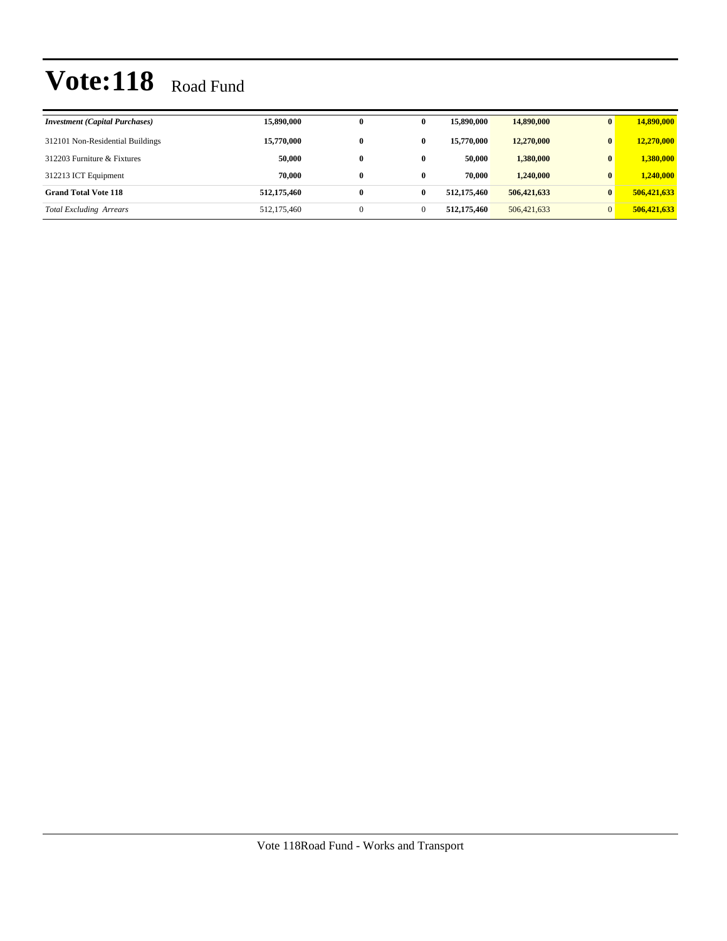| <b>Investment (Capital Purchases)</b> | 15,890,000  | $\mathbf{0}$ | 0            | 15,890,000  | 14,890,000  | $\bf{0}$       | 14,890,000  |
|---------------------------------------|-------------|--------------|--------------|-------------|-------------|----------------|-------------|
| 312101 Non-Residential Buildings      | 15,770,000  | $\bf{0}$     | 0            | 15,770,000  | 12,270,000  | $\mathbf{0}$   | 12,270,000  |
| 312203 Furniture & Fixtures           | 50.000      | $\bf{0}$     | 0            | 50.000      | 1,380,000   | $\mathbf{0}$   | 1,380,000   |
| 312213 ICT Equipment                  | 70.000      | $\bf{0}$     | 0            | 70.000      | 1,240,000   | $\mathbf{0}$   | 1,240,000   |
| <b>Grand Total Vote 118</b>           | 512,175,460 | $\bf{0}$     | 0            | 512,175,460 | 506,421,633 | $\mathbf{0}$   | 506,421,633 |
| <b>Total Excluding Arrears</b>        | 512,175,460 | $\Omega$     | $\mathbf{0}$ | 512,175,460 | 506,421,633 | $\overline{0}$ | 506,421,633 |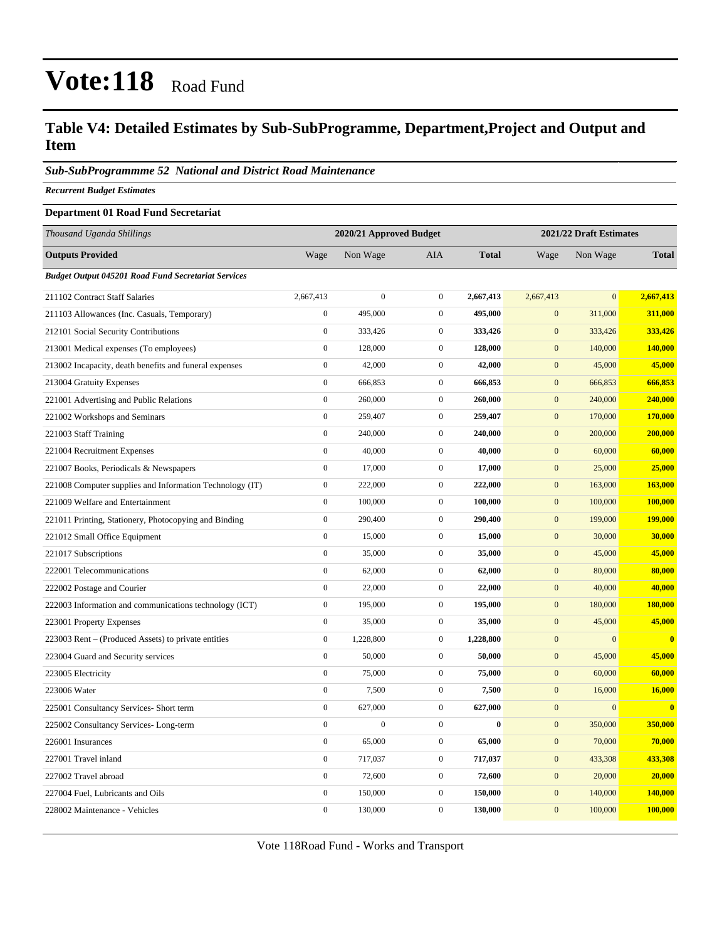### **Table V4: Detailed Estimates by Sub-SubProgramme, Department,Project and Output and Item**

#### *Sub-SubProgrammme 52 National and District Road Maintenance*

*Recurrent Budget Estimates*

#### **Department 01 Road Fund Secretariat**

| Thousand Uganda Shillings                                  |                  | 2020/21 Approved Budget |                  |              |                  | 2021/22 Draft Estimates |              |  |
|------------------------------------------------------------|------------------|-------------------------|------------------|--------------|------------------|-------------------------|--------------|--|
| <b>Outputs Provided</b>                                    | Wage             | Non Wage                | AIA              | <b>Total</b> | Wage             | Non Wage                | <b>Total</b> |  |
| <b>Budget Output 045201 Road Fund Secretariat Services</b> |                  |                         |                  |              |                  |                         |              |  |
| 211102 Contract Staff Salaries                             | 2,667,413        | $\overline{0}$          | $\mathbf{0}$     | 2,667,413    | 2,667,413        | $\overline{0}$          | 2,667,413    |  |
| 211103 Allowances (Inc. Casuals, Temporary)                | $\boldsymbol{0}$ | 495,000                 | $\boldsymbol{0}$ | 495,000      | $\mathbf{0}$     | 311,000                 | 311,000      |  |
| 212101 Social Security Contributions                       | $\boldsymbol{0}$ | 333,426                 | $\boldsymbol{0}$ | 333,426      | $\mathbf{0}$     | 333,426                 | 333,426      |  |
| 213001 Medical expenses (To employees)                     | $\boldsymbol{0}$ | 128,000                 | $\boldsymbol{0}$ | 128,000      | $\mathbf{0}$     | 140,000                 | 140,000      |  |
| 213002 Incapacity, death benefits and funeral expenses     | $\boldsymbol{0}$ | 42,000                  | $\boldsymbol{0}$ | 42,000       | $\mathbf{0}$     | 45,000                  | 45,000       |  |
| 213004 Gratuity Expenses                                   | $\boldsymbol{0}$ | 666,853                 | $\boldsymbol{0}$ | 666,853      | $\boldsymbol{0}$ | 666,853                 | 666,853      |  |
| 221001 Advertising and Public Relations                    | $\boldsymbol{0}$ | 260,000                 | $\boldsymbol{0}$ | 260,000      | $\mathbf{0}$     | 240,000                 | 240,000      |  |
| 221002 Workshops and Seminars                              | $\boldsymbol{0}$ | 259,407                 | $\boldsymbol{0}$ | 259,407      | $\mathbf{0}$     | 170,000                 | 170,000      |  |
| 221003 Staff Training                                      | $\boldsymbol{0}$ | 240,000                 | $\boldsymbol{0}$ | 240,000      | $\mathbf{0}$     | 200,000                 | 200,000      |  |
| 221004 Recruitment Expenses                                | $\boldsymbol{0}$ | 40,000                  | $\boldsymbol{0}$ | 40,000       | $\mathbf{0}$     | 60,000                  | 60,000       |  |
| 221007 Books, Periodicals & Newspapers                     | $\boldsymbol{0}$ | 17,000                  | $\boldsymbol{0}$ | 17,000       | $\mathbf{0}$     | 25,000                  | 25,000       |  |
| 221008 Computer supplies and Information Technology (IT)   | $\boldsymbol{0}$ | 222,000                 | $\boldsymbol{0}$ | 222,000      | $\boldsymbol{0}$ | 163,000                 | 163,000      |  |
| 221009 Welfare and Entertainment                           | $\boldsymbol{0}$ | 100,000                 | $\boldsymbol{0}$ | 100,000      | $\mathbf{0}$     | 100,000                 | 100,000      |  |
| 221011 Printing, Stationery, Photocopying and Binding      | $\boldsymbol{0}$ | 290,400                 | $\boldsymbol{0}$ | 290,400      | $\mathbf{0}$     | 199,000                 | 199,000      |  |
| 221012 Small Office Equipment                              | $\overline{0}$   | 15,000                  | $\boldsymbol{0}$ | 15,000       | $\mathbf{0}$     | 30,000                  | 30,000       |  |
| 221017 Subscriptions                                       | $\boldsymbol{0}$ | 35,000                  | $\boldsymbol{0}$ | 35,000       | $\mathbf{0}$     | 45,000                  | 45,000       |  |
| 222001 Telecommunications                                  | $\boldsymbol{0}$ | 62,000                  | $\boldsymbol{0}$ | 62,000       | $\mathbf{0}$     | 80,000                  | 80,000       |  |
| 222002 Postage and Courier                                 | $\boldsymbol{0}$ | 22,000                  | $\boldsymbol{0}$ | 22,000       | $\mathbf{0}$     | 40,000                  | 40,000       |  |
| 222003 Information and communications technology (ICT)     | $\boldsymbol{0}$ | 195,000                 | $\boldsymbol{0}$ | 195,000      | $\boldsymbol{0}$ | 180,000                 | 180,000      |  |
| 223001 Property Expenses                                   | $\boldsymbol{0}$ | 35,000                  | $\boldsymbol{0}$ | 35,000       | $\mathbf{0}$     | 45,000                  | 45,000       |  |
| 223003 Rent – (Produced Assets) to private entities        | $\boldsymbol{0}$ | 1,228,800               | $\boldsymbol{0}$ | 1,228,800    | $\mathbf{0}$     | $\mathbf{0}$            | $\bf{0}$     |  |
| 223004 Guard and Security services                         | $\boldsymbol{0}$ | 50,000                  | $\boldsymbol{0}$ | 50,000       | $\mathbf{0}$     | 45,000                  | 45,000       |  |
| 223005 Electricity                                         | $\boldsymbol{0}$ | 75,000                  | $\boldsymbol{0}$ | 75,000       | $\boldsymbol{0}$ | 60,000                  | 60,000       |  |
| 223006 Water                                               | $\boldsymbol{0}$ | 7,500                   | $\boldsymbol{0}$ | 7,500        | $\mathbf{0}$     | 16,000                  | 16,000       |  |
| 225001 Consultancy Services- Short term                    | $\boldsymbol{0}$ | 627,000                 | $\boldsymbol{0}$ | 627,000      | $\mathbf{0}$     | $\mathbf{0}$            | $\bf{0}$     |  |
| 225002 Consultancy Services-Long-term                      | $\mathbf{0}$     | $\mathbf{0}$            | $\boldsymbol{0}$ | $\bf{0}$     | $\mathbf{0}$     | 350,000                 | 350,000      |  |
| 226001 Insurances                                          | $\boldsymbol{0}$ | 65,000                  | $\boldsymbol{0}$ | 65,000       | $\boldsymbol{0}$ | 70,000                  | 70,000       |  |
| 227001 Travel inland                                       | $\boldsymbol{0}$ | 717,037                 | $\boldsymbol{0}$ | 717,037      | $\mathbf{0}$     | 433,308                 | 433,308      |  |
| 227002 Travel abroad                                       | $\overline{0}$   | 72,600                  | $\boldsymbol{0}$ | 72,600       | $\mathbf{0}$     | 20,000                  | 20,000       |  |
| 227004 Fuel, Lubricants and Oils                           | $\boldsymbol{0}$ | 150,000                 | $\boldsymbol{0}$ | 150,000      | $\mathbf{0}$     | 140,000                 | 140,000      |  |
| 228002 Maintenance - Vehicles                              | $\boldsymbol{0}$ | 130,000                 | $\boldsymbol{0}$ | 130,000      | $\mathbf{0}$     | 100,000                 | 100,000      |  |

Vote 118Road Fund - Works and Transport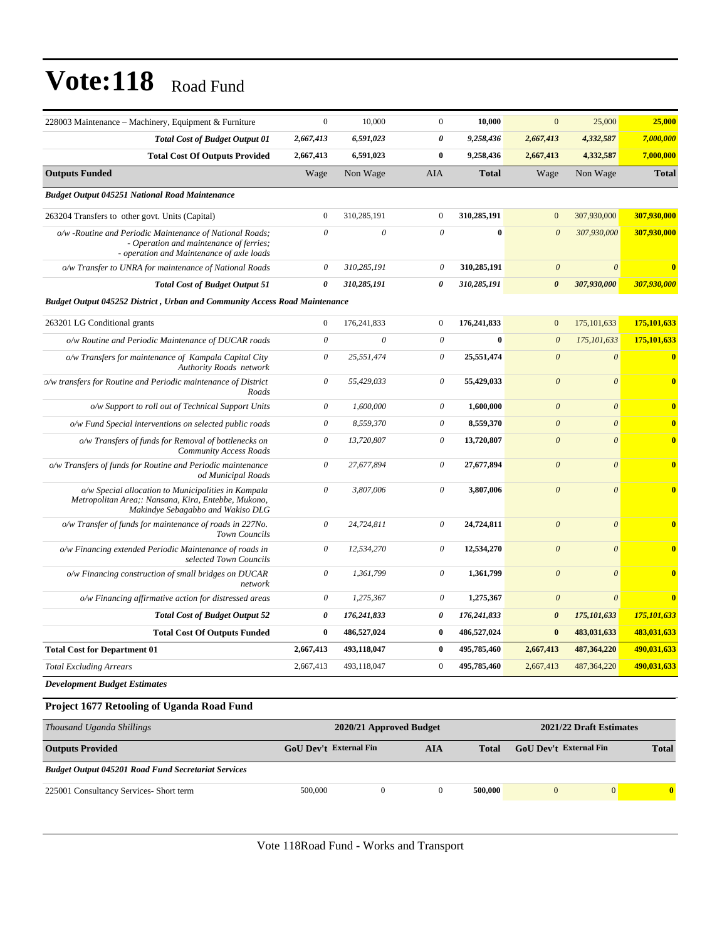| $\boldsymbol{0}$          | 10,000                | $\mathbf{0}$                                                                      | 10,000       | $\mathbf{0}$          | 25,000                | 25,000                  |
|---------------------------|-----------------------|-----------------------------------------------------------------------------------|--------------|-----------------------|-----------------------|-------------------------|
| 2,667,413                 | 6,591,023             | 0                                                                                 | 9,258,436    | 2,667,413             | 4,332,587             | 7,000,000               |
| 2,667,413                 | 6,591,023             | $\bf{0}$                                                                          | 9,258,436    | 2,667,413             | 4,332,587             | 7,000,000               |
| Wage                      | Non Wage              | <b>AIA</b>                                                                        | <b>Total</b> | Wage                  | Non Wage              | <b>Total</b>            |
|                           |                       |                                                                                   |              |                       |                       |                         |
| $\mathbf{0}$              | 310,285,191           | $\boldsymbol{0}$                                                                  | 310,285,191  | $\mathbf{0}$          | 307,930,000           | 307,930,000             |
| $\theta$                  | $\theta$              | $\theta$                                                                          | $\bf{0}$     | $\theta$              | 307,930,000           | 307,930,000             |
| $\boldsymbol{\mathit{0}}$ | 310,285,191           | $\theta$                                                                          | 310,285,191  | $\boldsymbol{\theta}$ | $\theta$              | $\bf{0}$                |
| $\boldsymbol{\theta}$     | 310,285,191           | 0                                                                                 | 310,285,191  | $\boldsymbol{\theta}$ | 307,930,000           | 307,930,000             |
|                           |                       |                                                                                   |              |                       |                       |                         |
| $\mathbf{0}$              | 176,241,833           | $\boldsymbol{0}$                                                                  | 176,241,833  | $\mathbf{0}$          | 175, 101, 633         | 175,101,633             |
| $\mathcal O$              | $\boldsymbol{\theta}$ | $\mathcal O$                                                                      | $\bf{0}$     | $\boldsymbol{\theta}$ | 175, 101, 633         | 175,101,633             |
| $\boldsymbol{\theta}$     | 25,551,474            | $\boldsymbol{\theta}$                                                             | 25,551,474   | $\boldsymbol{\theta}$ | $\boldsymbol{\theta}$ | $\bf{0}$                |
| $\theta$                  | 55,429,033            | $\theta$                                                                          | 55,429,033   | $\boldsymbol{\theta}$ | $\theta$              | $\bf{0}$                |
| 0                         | 1,600,000             | $\boldsymbol{\theta}$                                                             | 1,600,000    | $\boldsymbol{\theta}$ | $\theta$              | $\bf{0}$                |
| $\theta$                  | 8,559,370             | $\theta$                                                                          | 8,559,370    | $\boldsymbol{\theta}$ | $\theta$              | $\overline{\mathbf{0}}$ |
| $\mathcal O$              | 13,720,807            | $\theta$                                                                          | 13,720,807   | $\boldsymbol{\theta}$ | $\theta$              | $\bf{0}$                |
| $\theta$                  | 27,677,894            | $\theta$                                                                          | 27,677,894   | $\theta$              | $\theta$              | $\overline{\mathbf{0}}$ |
| $\theta$                  | 3,807,006             | $\theta$                                                                          | 3,807,006    | $\boldsymbol{\theta}$ | $\theta$              | $\overline{\mathbf{0}}$ |
| $\theta$                  | 24,724,811            | $\theta$                                                                          | 24,724,811   | $\boldsymbol{\theta}$ | $\theta$              | $\bf{0}$                |
| $\boldsymbol{\mathit{0}}$ | 12,534,270            | $\boldsymbol{\theta}$                                                             | 12,534,270   | $\boldsymbol{\theta}$ | $\boldsymbol{\theta}$ | $\bf{0}$                |
| $\mathcal O$              | 1,361,799             | $\theta$                                                                          | 1,361,799    | $\boldsymbol{\theta}$ | $\boldsymbol{\theta}$ | $\bf{0}$                |
| $\mathcal O$              | 1,275,367             | $\boldsymbol{\theta}$                                                             | 1,275,367    | $\boldsymbol{\theta}$ | $\theta$              | $\bf{0}$                |
| $\boldsymbol{\theta}$     | 176,241,833           | $\pmb{\theta}$                                                                    | 176,241,833  | $\boldsymbol{\theta}$ | 175,101,633           | 175,101,633             |
| $\bf{0}$                  | 486,527,024           | $\bf{0}$                                                                          | 486,527,024  | $\bf{0}$              | 483,031,633           | 483,031,633             |
| 2,667,413                 | 493,118,047           | $\bf{0}$                                                                          | 495,785,460  | 2,667,413             | 487,364,220           | 490,031,633             |
| 2,667,413                 | 493,118,047           | $\boldsymbol{0}$                                                                  | 495,785,460  | 2,667,413             | 487, 364, 220         | 490,031,633             |
|                           |                       |                                                                                   |              |                       |                       |                         |
|                           |                       | <b>Budget Output 045252 District, Urban and Community Access Road Maintenance</b> |              |                       |                       |                         |

| Thousand Uganda Shillings                                  | 2020/21 Approved Budget       | 2021/22 Draft Estimates |              |                               |              |              |
|------------------------------------------------------------|-------------------------------|-------------------------|--------------|-------------------------------|--------------|--------------|
| <b>Outputs Provided</b>                                    | <b>GoU</b> Dev't External Fin | AIA                     | <b>Total</b> | <b>GoU Dev't External Fin</b> |              | <b>Total</b> |
| <b>Budget Output 045201 Road Fund Secretariat Services</b> |                               |                         |              |                               |              |              |
| 225001 Consultancy Services- Short term                    | 500,000                       |                         | 500,000      |                               | $\mathbf{0}$ | $\mathbf{0}$ |